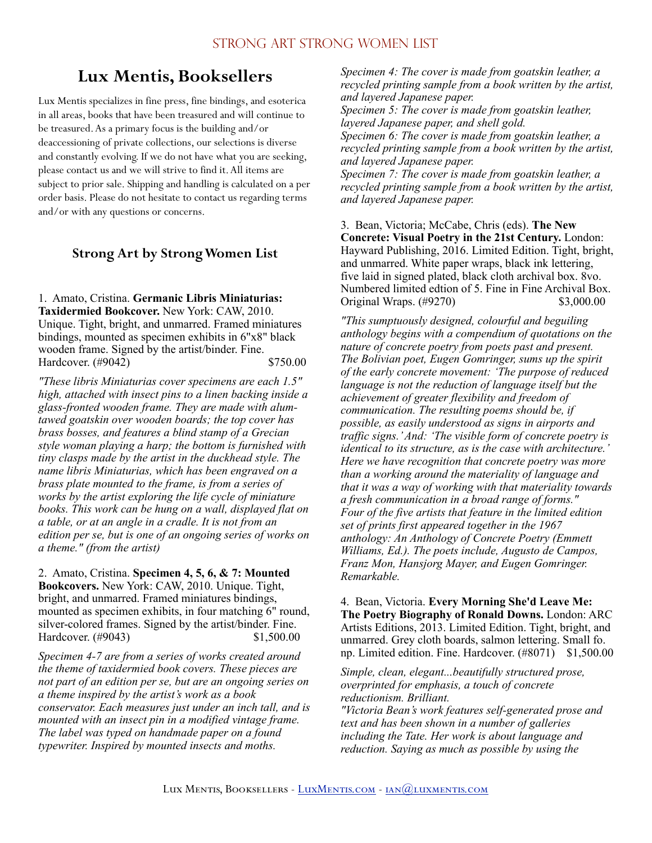# **Lux Mentis, Booksellers**

Lux Mentis specializes in fine press, fine bindings, and esoterica in all areas, books that have been treasured and will continue to be treasured. As a primary focus is the building and/or deaccessioning of private collections, our selections is diverse and constantly evolving. If we do not have what you are seeking, please contact us and we will strive to find it. All items are subject to prior sale. Shipping and handling is calculated on a per order basis. Please do not hesitate to contact us regarding terms and/or with any questions or concerns.

## **Strong Art by Strong Women List**

1. Amato, Cristina. **Germanic Libris Miniaturias: Taxidermied Bookcover.** New York: CAW, 2010. Unique. Tight, bright, and unmarred. Framed miniatures bindings, mounted as specimen exhibits in 6"x8" black wooden frame. Signed by the artist/binder. Fine. Hardcover. (#9042) \$750.00

*"These libris Miniaturias cover specimens are each 1.5″ high, attached with insect pins to a linen backing inside a glass-fronted wooden frame. They are made with alumtawed goatskin over wooden boards; the top cover has brass bosses, and features a blind stamp of a Grecian style woman playing a harp; the bottom is furnished with tiny clasps made by the artist in the duckhead style. The name libris Miniaturias, which has been engraved on a brass plate mounted to the frame, is from a series of works by the artist exploring the life cycle of miniature books. This work can be hung on a wall, displayed flat on a table, or at an angle in a cradle. It is not from an edition per se, but is one of an ongoing series of works on a theme." (from the artist)* 

2. Amato, Cristina. **Specimen 4, 5, 6, & 7: Mounted Bookcovers.** New York: CAW, 2010. Unique. Tight, bright, and unmarred. Framed miniatures bindings, mounted as specimen exhibits, in four matching 6" round, silver-colored frames. Signed by the artist/binder. Fine. Hardcover. (#9043) \$1,500.00

*Specimen 4-7 are from a series of works created around the theme of taxidermied book covers. These pieces are not part of an edition per se, but are an ongoing series on a theme inspired by the artist's work as a book conservator. Each measures just under an inch tall, and is mounted with an insect pin in a modified vintage frame. The label was typed on handmade paper on a found typewriter. Inspired by mounted insects and moths.* 

*Specimen 4: The cover is made from goatskin leather, a recycled printing sample from a book written by the artist, and layered Japanese paper.* 

*Specimen 5: The cover is made from goatskin leather, layered Japanese paper, and shell gold.* 

*Specimen 6: The cover is made from goatskin leather, a recycled printing sample from a book written by the artist, and layered Japanese paper.* 

*Specimen 7: The cover is made from goatskin leather, a recycled printing sample from a book written by the artist, and layered Japanese paper.* 

3. Bean, Victoria; McCabe, Chris (eds). **The New Concrete: Visual Poetry in the 21st Century.** London: Hayward Publishing, 2016. Limited Edition. Tight, bright, and unmarred. White paper wraps, black ink lettering, five laid in signed plated, black cloth archival box. 8vo. Numbered limited edtion of 5. Fine in Fine Archival Box. Original Wraps. (#9270) \$3,000.00

*"This sumptuously designed, colourful and beguiling anthology begins with a compendium of quotations on the nature of concrete poetry from poets past and present. The Bolivian poet, Eugen Gomringer, sums up the spirit of the early concrete movement: 'The purpose of reduced*  language is not the reduction of language itself but the *achievement of greater flexibility and freedom of communication. The resulting poems should be, if possible, as easily understood as signs in airports and traffic signs.' And: 'The visible form of concrete poetry is identical to its structure, as is the case with architecture.' Here we have recognition that concrete poetry was more than a working around the materiality of language and that it was a way of working with that materiality towards a fresh communication in a broad range of forms." Four of the five artists that feature in the limited edition set of prints first appeared together in the 1967 anthology: An Anthology of Concrete Poetry (Emmett Williams, Ed.). The poets include, Augusto de Campos, Franz Mon, Hansjorg Mayer, and Eugen Gomringer. Remarkable.* 

4. Bean, Victoria. **Every Morning She'd Leave Me: The Poetry Biography of Ronald Downs.** London: ARC Artists Editions, 2013. Limited Edition. Tight, bright, and unmarred. Grey cloth boards, salmon lettering. Small fo. np. Limited edition. Fine. Hardcover. (#8071) \$1,500.00

*Simple, clean, elegant...beautifully structured prose, overprinted for emphasis, a touch of concrete reductionism. Brilliant.* 

*"Victoria Bean's work features self-generated prose and text and has been shown in a number of galleries including the Tate. Her work is about language and reduction. Saying as much as possible by using the*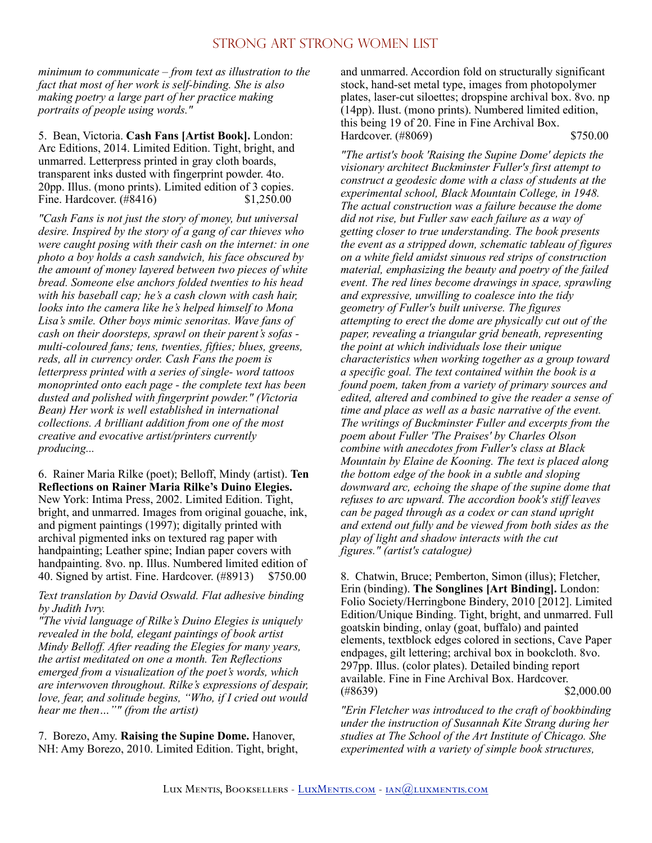*minimum to communicate – from text as illustration to the fact that most of her work is self-binding. She is also making poetry a large part of her practice making portraits of people using words."* 

5. Bean, Victoria. **Cash Fans [Artist Book].** London: Arc Editions, 2014. Limited Edition. Tight, bright, and unmarred. Letterpress printed in gray cloth boards, transparent inks dusted with fingerprint powder. 4to. 20pp. Illus. (mono prints). Limited edition of 3 copies. Fine. Hardcover. (#8416) \$1,250.00

*"Cash Fans is not just the story of money, but universal desire. Inspired by the story of a gang of car thieves who were caught posing with their cash on the internet: in one photo a boy holds a cash sandwich, his face obscured by the amount of money layered between two pieces of white bread. Someone else anchors folded twenties to his head with his baseball cap; he's a cash clown with cash hair, looks into the camera like he's helped himself to Mona Lisa's smile. Other boys mimic senoritas. Wave fans of cash on their doorsteps, sprawl on their parent's sofas multi-coloured fans; tens, twenties, fifties; blues, greens, reds, all in currency order. Cash Fans the poem is letterpress printed with a series of single- word tattoos monoprinted onto each page - the complete text has been dusted and polished with fingerprint powder." (Victoria Bean) Her work is well established in international collections. A brilliant addition from one of the most creative and evocative artist/printers currently producing...* 

6. Rainer Maria Rilke (poet); Belloff, Mindy (artist). **Ten Reflections on Rainer Maria Rilke's Duino Elegies.** New York: Intima Press, 2002. Limited Edition. Tight, bright, and unmarred. Images from original gouache, ink, and pigment paintings (1997); digitally printed with archival pigmented inks on textured rag paper with handpainting; Leather spine; Indian paper covers with handpainting. 8vo. np. Illus. Numbered limited edition of 40. Signed by artist. Fine. Hardcover. (#8913) \$750.00

*Text translation by David Oswald. Flat adhesive binding by Judith Ivry.* 

*"The vivid language of Rilke's Duino Elegies is uniquely revealed in the bold, elegant paintings of book artist Mindy Belloff. After reading the Elegies for many years, the artist meditated on one a month. Ten Reflections emerged from a visualization of the poet's words, which are interwoven throughout. Rilke's expressions of despair, love, fear, and solitude begins, "Who, if I cried out would hear me then…"" (from the artist)* 

7. Borezo, Amy. **Raising the Supine Dome.** Hanover, NH: Amy Borezo, 2010. Limited Edition. Tight, bright, and unmarred. Accordion fold on structurally significant stock, hand-set metal type, images from photopolymer plates, laser-cut siloettes; dropspine archival box. 8vo. np (14pp). Ilust. (mono prints). Numbered limited edition, this being 19 of 20. Fine in Fine Archival Box. Hardcover. (#8069) \$750.00

*"The artist's book 'Raising the Supine Dome' depicts the visionary architect Buckminster Fuller's first attempt to construct a geodesic dome with a class of students at the experimental school, Black Mountain College, in 1948. The actual construction was a failure because the dome did not rise, but Fuller saw each failure as a way of getting closer to true understanding. The book presents the event as a stripped down, schematic tableau of figures on a white field amidst sinuous red strips of construction material, emphasizing the beauty and poetry of the failed event. The red lines become drawings in space, sprawling and expressive, unwilling to coalesce into the tidy geometry of Fuller's built universe. The figures attempting to erect the dome are physically cut out of the paper, revealing a triangular grid beneath, representing the point at which individuals lose their unique characteristics when working together as a group toward a specific goal. The text contained within the book is a found poem, taken from a variety of primary sources and edited, altered and combined to give the reader a sense of time and place as well as a basic narrative of the event. The writings of Buckminster Fuller and excerpts from the poem about Fuller 'The Praises' by Charles Olson combine with anecdotes from Fuller's class at Black Mountain by Elaine de Kooning. The text is placed along the bottom edge of the book in a subtle and sloping downward arc, echoing the shape of the supine dome that refuses to arc upward. The accordion book's stiff leaves can be paged through as a codex or can stand upright and extend out fully and be viewed from both sides as the play of light and shadow interacts with the cut figures." (artist's catalogue)* 

8. Chatwin, Bruce; Pemberton, Simon (illus); Fletcher, Erin (binding). **The Songlines [Art Binding].** London: Folio Society/Herringbone Bindery, 2010 [2012]. Limited Edition/Unique Binding. Tight, bright, and unmarred. Full goatskin binding, onlay (goat, buffalo) and painted elements, textblock edges colored in sections, Cave Paper endpages, gilt lettering; archival box in bookcloth. 8vo. 297pp. Illus. (color plates). Detailed binding report available. Fine in Fine Archival Box. Hardcover.  $(*8639)$  \$2,000.00

*"Erin Fletcher was introduced to the craft of bookbinding under the instruction of Susannah Kite Strang during her studies at The School of the Art Institute of Chicago. She experimented with a variety of simple book structures,*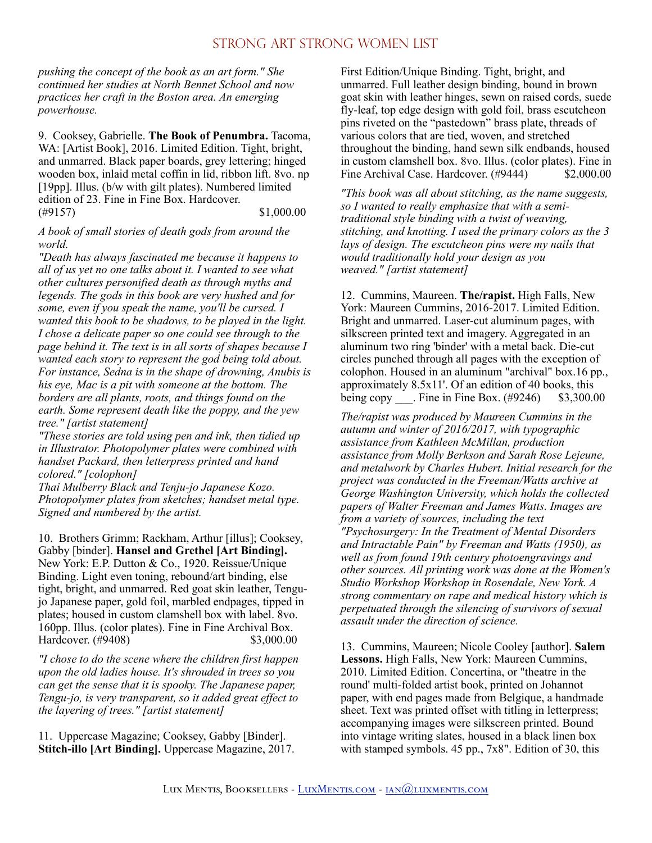*pushing the concept of the book as an art form." She continued her studies at North Bennet School and now practices her craft in the Boston area. An emerging powerhouse.* 

9. Cooksey, Gabrielle. **The Book of Penumbra.** Tacoma, WA: [Artist Book], 2016. Limited Edition. Tight, bright, and unmarred. Black paper boards, grey lettering; hinged wooden box, inlaid metal coffin in lid, ribbon lift. 8vo. np [19pp]. Illus. (b/w with gilt plates). Numbered limited edition of 23. Fine in Fine Box. Hardcover.  $(\#9157)$  \$1,000.00

#### *A book of small stories of death gods from around the world.*

*"Death has always fascinated me because it happens to all of us yet no one talks about it. I wanted to see what other cultures personified death as through myths and legends. The gods in this book are very hushed and for some, even if you speak the name, you'll be cursed. I wanted this book to be shadows, to be played in the light. I chose a delicate paper so one could see through to the page behind it. The text is in all sorts of shapes because I wanted each story to represent the god being told about. For instance, Sedna is in the shape of drowning, Anubis is his eye, Mac is a pit with someone at the bottom. The borders are all plants, roots, and things found on the earth. Some represent death like the poppy, and the yew tree." [artist statement]* 

*"These stories are told using pen and ink, then tidied up in Illustrator. Photopolymer plates were combined with handset Packard, then letterpress printed and hand colored." [colophon]* 

*Thai Mulberry Black and Tenju-jo Japanese Kozo. Photopolymer plates from sketches; handset metal type. Signed and numbered by the artist.* 

10. Brothers Grimm; Rackham, Arthur [illus]; Cooksey, Gabby [binder]. **Hansel and Grethel [Art Binding].** New York: E.P. Dutton & Co., 1920. Reissue/Unique Binding. Light even toning, rebound/art binding, else tight, bright, and unmarred. Red goat skin leather, Tengujo Japanese paper, gold foil, marbled endpages, tipped in plates; housed in custom clamshell box with label. 8vo. 160pp. Illus. (color plates). Fine in Fine Archival Box. Hardcover. (#9408) \$3,000.00

*"I chose to do the scene where the children first happen upon the old ladies house. It's shrouded in trees so you can get the sense that it is spooky. The Japanese paper, Tengu-jo, is very transparent, so it added great effect to the layering of trees." [artist statement]* 

11. Uppercase Magazine; Cooksey, Gabby [Binder]. **Stitch-illo [Art Binding].** Uppercase Magazine, 2017. First Edition/Unique Binding. Tight, bright, and unmarred. Full leather design binding, bound in brown goat skin with leather hinges, sewn on raised cords, suede fly-leaf, top edge design with gold foil, brass escutcheon pins riveted on the "pastedown" brass plate, threads of various colors that are tied, woven, and stretched throughout the binding, hand sewn silk endbands, housed in custom clamshell box. 8vo. Illus. (color plates). Fine in Fine Archival Case. Hardcover. (#9444) \$2,000.00

*"This book was all about stitching, as the name suggests, so I wanted to really emphasize that with a semitraditional style binding with a twist of weaving, stitching, and knotting. I used the primary colors as the 3 lays of design. The escutcheon pins were my nails that would traditionally hold your design as you weaved." [artist statement]* 

12. Cummins, Maureen. **The/rapist.** High Falls, New York: Maureen Cummins, 2016-2017. Limited Edition. Bright and unmarred. Laser-cut aluminum pages, with silkscreen printed text and imagery. Aggregated in an aluminum two ring 'binder' with a metal back. Die-cut circles punched through all pages with the exception of colophon. Housed in an aluminum "archival" box.16 pp., approximately 8.5x11'. Of an edition of 40 books, this being copy Fine in Fine Box.  $(\text{\#9246})$  \$3,300.00

*The/rapist was produced by Maureen Cummins in the autumn and winter of 2016/2017, with typographic assistance from Kathleen McMillan, production assistance from Molly Berkson and Sarah Rose Lejeune, and metalwork by Charles Hubert. Initial research for the project was conducted in the Freeman/Watts archive at George Washington University, which holds the collected papers of Walter Freeman and James Watts. Images are from a variety of sources, including the text "Psychosurgery: In the Treatment of Mental Disorders and Intractable Pain" by Freeman and Watts (1950), as well as from found 19th century photoengravings and other sources. All printing work was done at the Women's Studio Workshop Workshop in Rosendale, New York. A strong commentary on rape and medical history which is perpetuated through the silencing of survivors of sexual assault under the direction of science.* 

13. Cummins, Maureen; Nicole Cooley [author]. **Salem Lessons.** High Falls, New York: Maureen Cummins, 2010. Limited Edition. Concertina, or "theatre in the round' multi-folded artist book, printed on Johannot paper, with end pages made from Belgique, a handmade sheet. Text was printed offset with titling in letterpress; accompanying images were silkscreen printed. Bound into vintage writing slates, housed in a black linen box with stamped symbols. 45 pp., 7x8". Edition of 30, this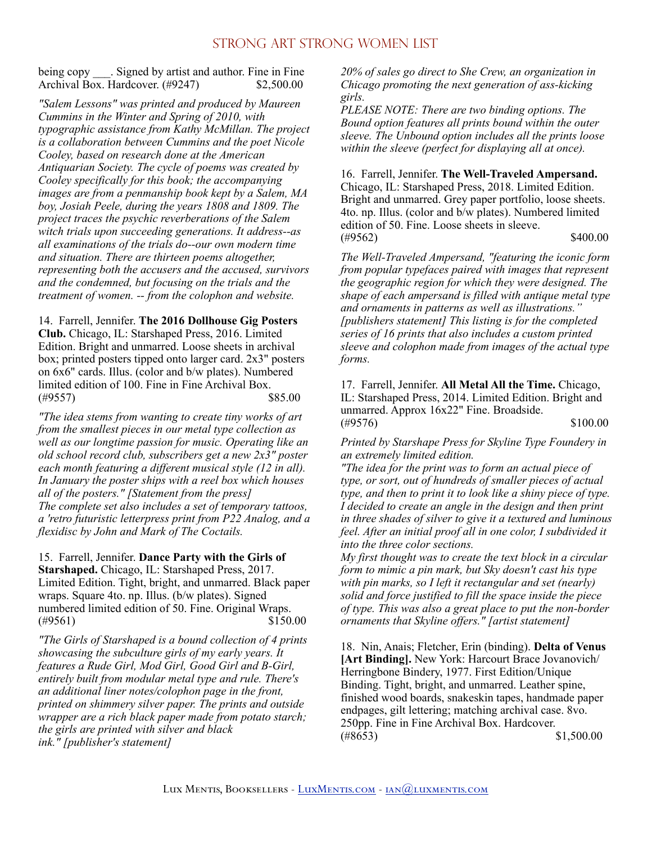being copy Signed by artist and author. Fine in Fine Archival Box. Hardcover. (#9247) \$2,500.00

*"Salem Lessons" was printed and produced by Maureen Cummins in the Winter and Spring of 2010, with typographic assistance from Kathy McMillan. The project is a collaboration between Cummins and the poet Nicole Cooley, based on research done at the American Antiquarian Society. The cycle of poems was created by Cooley specifically for this book; the accompanying images are from a penmanship book kept by a Salem, MA boy, Josiah Peele, during the years 1808 and 1809. The project traces the psychic reverberations of the Salem witch trials upon succeeding generations. It address--as all examinations of the trials do--our own modern time and situation. There are thirteen poems altogether, representing both the accusers and the accused, survivors and the condemned, but focusing on the trials and the treatment of women. -- from the colophon and website.* 

14. Farrell, Jennifer. **The 2016 Dollhouse Gig Posters Club.** Chicago, IL: Starshaped Press, 2016. Limited Edition. Bright and unmarred. Loose sheets in archival box; printed posters tipped onto larger card. 2x3" posters on 6x6" cards. Illus. (color and b/w plates). Numbered limited edition of 100. Fine in Fine Archival Box. (#9557) \$85.00

*"The idea stems from wanting to create tiny works of art from the smallest pieces in our metal type collection as well as our longtime passion for music. Operating like an old school record club, subscribers get a new 2x3" poster each month featuring a different musical style (12 in all). In January the poster ships with a reel box which houses all of the posters." [Statement from the press] The complete set also includes a set of temporary tattoos, a 'retro futuristic letterpress print from P22 Analog, and a flexidisc by John and Mark of The Coctails.* 

15. Farrell, Jennifer. **Dance Party with the Girls of Starshaped.** Chicago, IL: Starshaped Press, 2017. Limited Edition. Tight, bright, and unmarred. Black paper wraps. Square 4to. np. Illus. (b/w plates). Signed numbered limited edition of 50. Fine. Original Wraps.  $(*9561)$  \$150.00

*"The Girls of Starshaped is a bound collection of 4 prints showcasing the subculture girls of my early years. It features a Rude Girl, Mod Girl, Good Girl and B-Girl, entirely built from modular metal type and rule. There's an additional liner notes/colophon page in the front, printed on shimmery silver paper. The prints and outside wrapper are a rich black paper made from potato starch; the girls are printed with silver and black ink." [publisher's statement]* 

*20% of sales go direct to She Crew, an organization in Chicago promoting the next generation of ass-kicking girls.* 

*PLEASE NOTE: There are two binding options. The Bound option features all prints bound within the outer sleeve. The Unbound option includes all the prints loose within the sleeve (perfect for displaying all at once).* 

16. Farrell, Jennifer. **The Well-Traveled Ampersand.**  Chicago, IL: Starshaped Press, 2018. Limited Edition. Bright and unmarred. Grey paper portfolio, loose sheets. 4to. np. Illus. (color and b/w plates). Numbered limited edition of 50. Fine. Loose sheets in sleeve.  $(\#9562)$  \$400.00

*The Well-Traveled Ampersand, "featuring the iconic form from popular typefaces paired with images that represent the geographic region for which they were designed. The shape of each ampersand is filled with antique metal type and ornaments in patterns as well as illustrations." [publishers statement] This listing is for the completed series of 16 prints that also includes a custom printed sleeve and colophon made from images of the actual type forms.* 

17. Farrell, Jennifer. **All Metal All the Time.** Chicago, IL: Starshaped Press, 2014. Limited Edition. Bright and unmarred. Approx 16x22" Fine. Broadside.  $(\#9576)$  \$100.00

*Printed by Starshape Press for Skyline Type Foundery in an extremely limited edition.* 

*"The idea for the print was to form an actual piece of type, or sort, out of hundreds of smaller pieces of actual type, and then to print it to look like a shiny piece of type. I decided to create an angle in the design and then print in three shades of silver to give it a textured and luminous feel. After an initial proof all in one color, I subdivided it into the three color sections.* 

*My first thought was to create the text block in a circular form to mimic a pin mark, but Sky doesn't cast his type with pin marks, so I left it rectangular and set (nearly) solid and force justified to fill the space inside the piece of type. This was also a great place to put the non-border ornaments that Skyline offers." [artist statement]* 

18. Nin, Anais; Fletcher, Erin (binding). **Delta of Venus [Art Binding].** New York: Harcourt Brace Jovanovich/ Herringbone Bindery, 1977. First Edition/Unique Binding. Tight, bright, and unmarred. Leather spine, finished wood boards, snakeskin tapes, handmade paper endpages, gilt lettering; matching archival case. 8vo. 250pp. Fine in Fine Archival Box. Hardcover.  $(*8653)$  \$1,500.00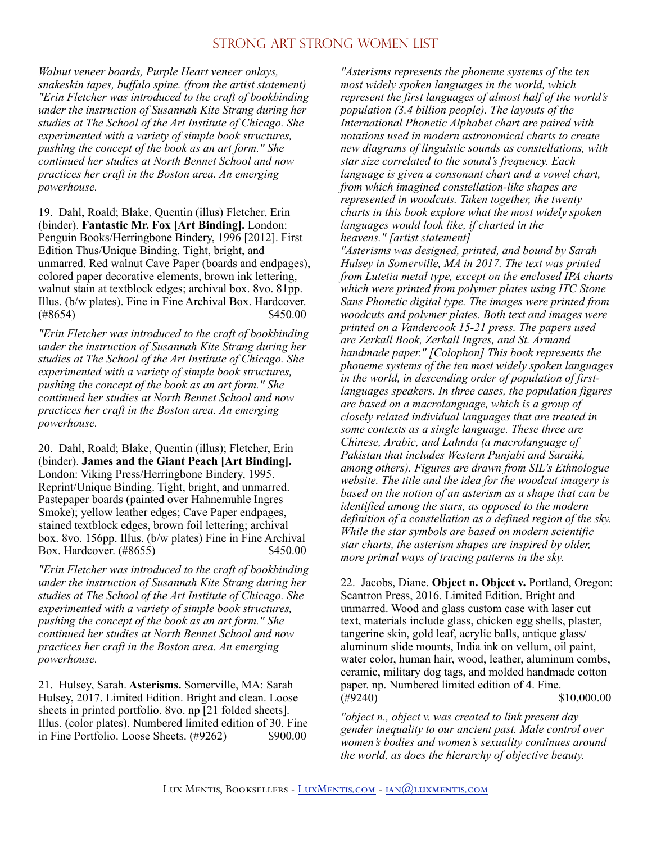*Walnut veneer boards, Purple Heart veneer onlays, snakeskin tapes, buffalo spine. (from the artist statement) "Erin Fletcher was introduced to the craft of bookbinding under the instruction of Susannah Kite Strang during her studies at The School of the Art Institute of Chicago. She experimented with a variety of simple book structures, pushing the concept of the book as an art form." She continued her studies at North Bennet School and now practices her craft in the Boston area. An emerging powerhouse.* 

19. Dahl, Roald; Blake, Quentin (illus) Fletcher, Erin (binder). **Fantastic Mr. Fox [Art Binding].** London: Penguin Books/Herringbone Bindery, 1996 [2012]. First Edition Thus/Unique Binding. Tight, bright, and unmarred. Red walnut Cave Paper (boards and endpages), colored paper decorative elements, brown ink lettering, walnut stain at textblock edges; archival box. 8vo. 81pp. Illus. (b/w plates). Fine in Fine Archival Box. Hardcover.  $(*8654)$  \$450.00

*"Erin Fletcher was introduced to the craft of bookbinding under the instruction of Susannah Kite Strang during her studies at The School of the Art Institute of Chicago. She experimented with a variety of simple book structures, pushing the concept of the book as an art form." She continued her studies at North Bennet School and now practices her craft in the Boston area. An emerging powerhouse.* 

20. Dahl, Roald; Blake, Quentin (illus); Fletcher, Erin (binder). **James and the Giant Peach [Art Binding].**  London: Viking Press/Herringbone Bindery, 1995. Reprint/Unique Binding. Tight, bright, and unmarred. Pastepaper boards (painted over Hahnemuhle Ingres Smoke); yellow leather edges; Cave Paper endpages, stained textblock edges, brown foil lettering; archival box. 8vo. 156pp. Illus. (b/w plates) Fine in Fine Archival Box. Hardcover. (#8655) \$450.00

*"Erin Fletcher was introduced to the craft of bookbinding under the instruction of Susannah Kite Strang during her studies at The School of the Art Institute of Chicago. She experimented with a variety of simple book structures, pushing the concept of the book as an art form." She continued her studies at North Bennet School and now practices her craft in the Boston area. An emerging powerhouse.* 

21. Hulsey, Sarah. **Asterisms.** Somerville, MA: Sarah Hulsey, 2017. Limited Edition. Bright and clean. Loose sheets in printed portfolio. 8vo. np [21 folded sheets]. Illus. (color plates). Numbered limited edition of 30. Fine in Fine Portfolio. Loose Sheets. (#9262) \$900.00

*"Asterisms represents the phoneme systems of the ten most widely spoken languages in the world, which represent the first languages of almost half of the world's population (3.4 billion people). The layouts of the International Phonetic Alphabet chart are paired with notations used in modern astronomical charts to create new diagrams of linguistic sounds as constellations, with star size correlated to the sound's frequency. Each language is given a consonant chart and a vowel chart, from which imagined constellation-like shapes are represented in woodcuts. Taken together, the twenty charts in this book explore what the most widely spoken languages would look like, if charted in the heavens." [artist statement]* 

*"Asterisms was designed, printed, and bound by Sarah Hulsey in Somerville, MA in 2017. The text was printed from Lutetia metal type, except on the enclosed IPA charts which were printed from polymer plates using ITC Stone Sans Phonetic digital type. The images were printed from woodcuts and polymer plates. Both text and images were printed on a Vandercook 15-21 press. The papers used are Zerkall Book, Zerkall Ingres, and St. Armand handmade paper." [Colophon] This book represents the phoneme systems of the ten most widely spoken languages in the world, in descending order of population of firstlanguages speakers. In three cases, the population figures are based on a macrolanguage, which is a group of closely related individual languages that are treated in some contexts as a single language. These three are Chinese, Arabic, and Lahnda (a macrolanguage of Pakistan that includes Western Punjabi and Saraiki, among others). Figures are drawn from SIL's Ethnologue website. The title and the idea for the woodcut imagery is based on the notion of an asterism as a shape that can be identified among the stars, as opposed to the modern definition of a constellation as a defined region of the sky. While the star symbols are based on modern scientific star charts, the asterism shapes are inspired by older, more primal ways of tracing patterns in the sky.* 

22. Jacobs, Diane. **Object n. Object v.** Portland, Oregon: Scantron Press, 2016. Limited Edition. Bright and unmarred. Wood and glass custom case with laser cut text, materials include glass, chicken egg shells, plaster, tangerine skin, gold leaf, acrylic balls, antique glass/ aluminum slide mounts, India ink on vellum, oil paint, water color, human hair, wood, leather, aluminum combs, ceramic, military dog tags, and molded handmade cotton paper. np. Numbered limited edition of 4. Fine.  $(\#9240)$  \$10,000.00

*"object n., object v. was created to link present day gender inequality to our ancient past. Male control over women's bodies and women's sexuality continues around the world, as does the hierarchy of objective beauty.*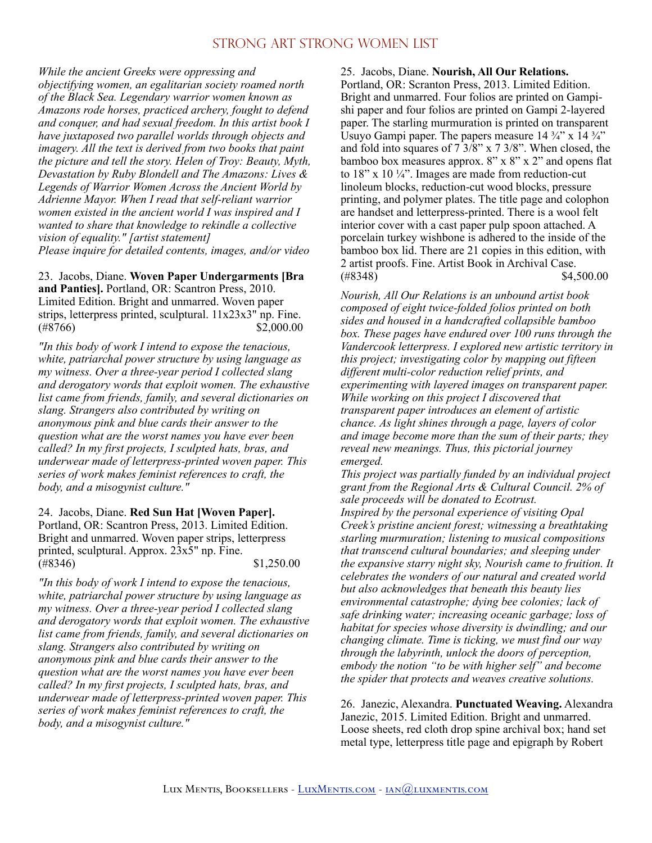*While the ancient Greeks were oppressing and objectifying women, an egalitarian society roamed north of the Black Sea. Legendary warrior women known as Amazons rode horses, practiced archery, fought to defend and conquer, and had sexual freedom. In this artist book I have juxtaposed two parallel worlds through objects and imagery. All the text is derived from two books that paint the picture and tell the story. Helen of Troy: Beauty, Myth, Devastation by Ruby Blondell and The Amazons: Lives & Legends of Warrior Women Across the Ancient World by Adrienne Mayor. When I read that self-reliant warrior women existed in the ancient world I was inspired and I wanted to share that knowledge to rekindle a collective vision of equality." [artist statement] Please inquire for detailed contents, images, and/or video* 

23. Jacobs, Diane. **Woven Paper Undergarments [Bra and Panties].** Portland, OR: Scantron Press, 2010. Limited Edition. Bright and unmarred. Woven paper strips, letterpress printed, sculptural. 11x23x3" np. Fine.  $(*8766)$  \$2,000.00

*"In this body of work I intend to expose the tenacious, white, patriarchal power structure by using language as my witness. Over a three-year period I collected slang and derogatory words that exploit women. The exhaustive list came from friends, family, and several dictionaries on slang. Strangers also contributed by writing on anonymous pink and blue cards their answer to the question what are the worst names you have ever been called? In my first projects, I sculpted hats, bras, and underwear made of letterpress-printed woven paper. This series of work makes feminist references to craft, the body, and a misogynist culture."* 

24. Jacobs, Diane. **Red Sun Hat [Woven Paper].** Portland, OR: Scantron Press, 2013. Limited Edition. Bright and unmarred. Woven paper strips, letterpress printed, sculptural. Approx. 23x5" np. Fine.  $(*8346)$  \$1,250.00

*"In this body of work I intend to expose the tenacious, white, patriarchal power structure by using language as my witness. Over a three-year period I collected slang and derogatory words that exploit women. The exhaustive list came from friends, family, and several dictionaries on slang. Strangers also contributed by writing on anonymous pink and blue cards their answer to the question what are the worst names you have ever been called? In my first projects, I sculpted hats, bras, and underwear made of letterpress-printed woven paper. This series of work makes feminist references to craft, the body, and a misogynist culture."* 

#### 25. Jacobs, Diane. **Nourish, All Our Relations.**

Portland, OR: Scranton Press, 2013. Limited Edition. Bright and unmarred. Four folios are printed on Gampishi paper and four folios are printed on Gampi 2-layered paper. The starling murmuration is printed on transparent Usuyo Gampi paper. The papers measure  $14\frac{3}{4}$  x  $14\frac{3}{4}$ and fold into squares of 7 3/8" x 7 3/8". When closed, the bamboo box measures approx. 8" x 8" x 2" and opens flat to 18" x 10 $\frac{1}{4}$ ". Images are made from reduction-cut linoleum blocks, reduction-cut wood blocks, pressure printing, and polymer plates. The title page and colophon are handset and letterpress-printed. There is a wool felt interior cover with a cast paper pulp spoon attached. A porcelain turkey wishbone is adhered to the inside of the bamboo box lid. There are 21 copies in this edition, with 2 artist proofs. Fine. Artist Book in Archival Case.  $(*8348)$  \$4,500.00

*Nourish, All Our Relations is an unbound artist book composed of eight twice-folded folios printed on both sides and housed in a handcrafted collapsible bamboo box. These pages have endured over 100 runs through the Vandercook letterpress. I explored new artistic territory in this project; investigating color by mapping out fifteen different multi-color reduction relief prints, and experimenting with layered images on transparent paper. While working on this project I discovered that transparent paper introduces an element of artistic chance. As light shines through a page, layers of color and image become more than the sum of their parts; they reveal new meanings. Thus, this pictorial journey emerged.* 

*This project was partially funded by an individual project grant from the Regional Arts & Cultural Council. 2% of sale proceeds will be donated to Ecotrust. Inspired by the personal experience of visiting Opal Creek's pristine ancient forest; witnessing a breathtaking starling murmuration; listening to musical compositions that transcend cultural boundaries; and sleeping under the expansive starry night sky, Nourish came to fruition. It celebrates the wonders of our natural and created world but also acknowledges that beneath this beauty lies environmental catastrophe; dying bee colonies; lack of safe drinking water; increasing oceanic garbage; loss of habitat for species whose diversity is dwindling; and our changing climate. Time is ticking, we must find our way through the labyrinth, unlock the doors of perception, embody the notion "to be with higher self" and become the spider that protects and weaves creative solutions.* 

26. Janezic, Alexandra. **Punctuated Weaving.** Alexandra Janezic, 2015. Limited Edition. Bright and unmarred. Loose sheets, red cloth drop spine archival box; hand set metal type, letterpress title page and epigraph by Robert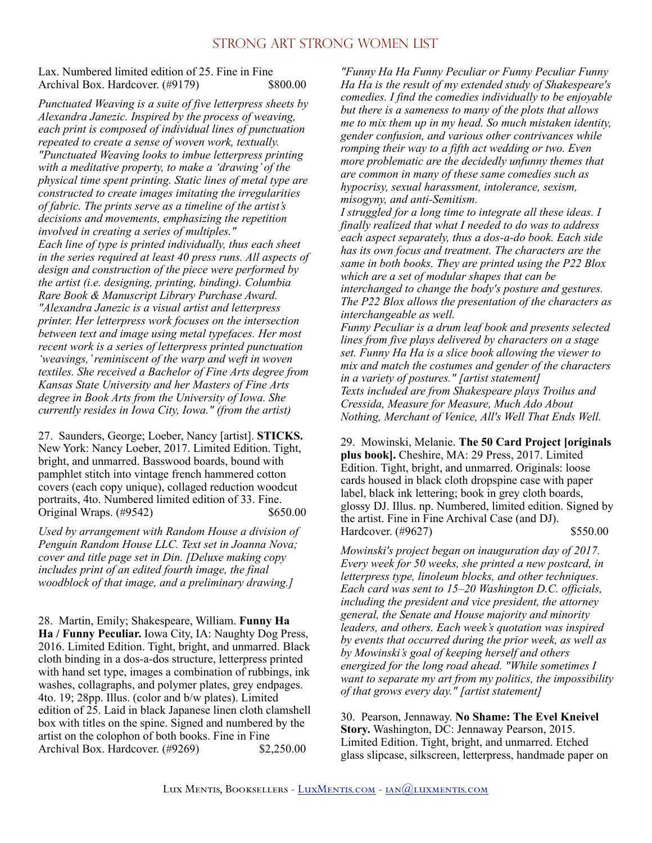Lax. Numbered limited edition of 25. Fine in Fine Archival Box. Hardcover. (#9179) \$800.00

*Punctuated Weaving is a suite of five letterpress sheets by Alexandra Janezic. Inspired by the process of weaving, each print is composed of individual lines of punctuation repeated to create a sense of woven work, textually. "Punctuated Weaving looks to imbue letterpress printing with a meditative property, to make a 'drawing' of the physical time spent printing. Static lines of metal type are constructed to create images imitating the irregularities of fabric. The prints serve as a timeline of the artist's decisions and movements, emphasizing the repetition involved in creating a series of multiples." Each line of type is printed individually, thus each sheet in the series required at least 40 press runs. All aspects of design and construction of the piece were performed by the artist (i.e. designing, printing, binding). Columbia Rare Book & Manuscript Library Purchase Award. "Alexandra Janezic is a visual artist and letterpress printer. Her letterpress work focuses on the intersection between text and image using metal typefaces. Her most recent work is a series of letterpress printed punctuation 'weavings,' reminiscent of the warp and weft in woven textiles. She received a Bachelor of Fine Arts degree from Kansas State University and her Masters of Fine Arts degree in Book Arts from the University of Iowa. She currently resides in Iowa City, Iowa." (from the artist)* 

27. Saunders, George; Loeber, Nancy [artist]. **STICKS.**  New York: Nancy Loeber, 2017. Limited Edition. Tight, bright, and unmarred. Basswood boards, bound with pamphlet stitch into vintage french hammered cotton covers (each copy unique), collaged reduction woodcut portraits, 4to. Numbered limited edition of 33. Fine. Original Wraps. (#9542) \$650.00

*Used by arrangement with Random House a division of Penguin Random House LLC. Text set in Joanna Nova; cover and title page set in Din. [Deluxe making copy includes print of an edited fourth image, the final woodblock of that image, and a preliminary drawing.]* 

28. Martin, Emily; Shakespeare, William. **Funny Ha Ha / Funny Peculiar.** Iowa City, IA: Naughty Dog Press, 2016. Limited Edition. Tight, bright, and unmarred. Black cloth binding in a dos-a-dos structure, letterpress printed with hand set type, images a combination of rubbings, ink washes, collagraphs, and polymer plates, grey endpages. 4to. 19; 28pp. Illus. (color and b/w plates). Limited edition of 25. Laid in black Japanese linen cloth clamshell box with titles on the spine. Signed and numbered by the artist on the colophon of both books. Fine in Fine Archival Box. Hardcover. (#9269) \$2,250.00

*"Funny Ha Ha Funny Peculiar or Funny Peculiar Funny Ha Ha is the result of my extended study of Shakespeare's comedies. I find the comedies individually to be enjoyable but there is a sameness to many of the plots that allows me to mix them up in my head. So much mistaken identity, gender confusion, and various other contrivances while romping their way to a fifth act wedding or two. Even more problematic are the decidedly unfunny themes that are common in many of these same comedies such as hypocrisy, sexual harassment, intolerance, sexism, misogyny, and anti-Semitism.* 

*I struggled for a long time to integrate all these ideas. I finally realized that what I needed to do was to address each aspect separately, thus a dos-a-do book. Each side has its own focus and treatment. The characters are the same in both books. They are printed using the P22 Blox which are a set of modular shapes that can be interchanged to change the body's posture and gestures. The P22 Blox allows the presentation of the characters as interchangeable as well.* 

*Funny Peculiar is a drum leaf book and presents selected lines from five plays delivered by characters on a stage set. Funny Ha Ha is a slice book allowing the viewer to mix and match the costumes and gender of the characters in a variety of postures." [artist statement] Texts included are from Shakespeare plays Troilus and Cressida, Measure for Measure, Much Ado About Nothing, Merchant of Venice, All's Well That Ends Well.* 

29. Mowinski, Melanie. **The 50 Card Project [originals plus book].** Cheshire, MA: 29 Press, 2017. Limited Edition. Tight, bright, and unmarred. Originals: loose cards housed in black cloth dropspine case with paper label, black ink lettering; book in grey cloth boards, glossy DJ. Illus. np. Numbered, limited edition. Signed by the artist. Fine in Fine Archival Case (and DJ). Hardcover. (#9627) \$550.00

*Mowinski's project began on inauguration day of 2017. Every week for 50 weeks, she printed a new postcard, in letterpress type, linoleum blocks, and other techniques. Each card was sent to 15–20 Washington D.C. officials, including the president and vice president, the attorney general, the Senate and House majority and minority leaders, and others. Each week's quotation was inspired by events that occurred during the prior week, as well as by Mowinski's goal of keeping herself and others energized for the long road ahead. "While sometimes I want to separate my art from my politics, the impossibility of that grows every day." [artist statement]* 

30. Pearson, Jennaway. **No Shame: The Evel Kneivel Story.** Washington, DC: Jennaway Pearson, 2015. Limited Edition. Tight, bright, and unmarred. Etched glass slipcase, silkscreen, letterpress, handmade paper on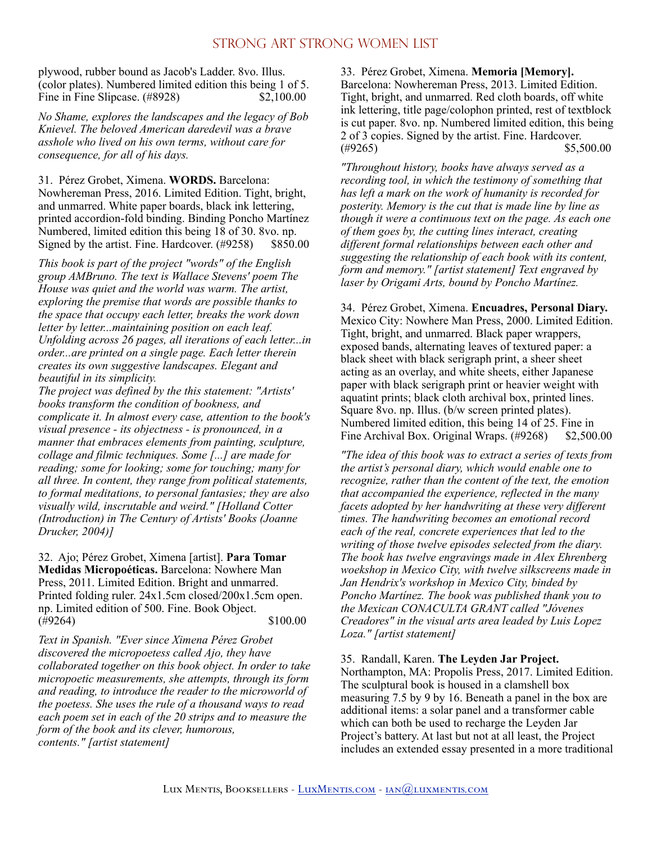plywood, rubber bound as Jacob's Ladder. 8vo. Illus. (color plates). Numbered limited edition this being 1 of 5. Fine in Fine Slipcase. (#8928) \$2,100.00

*No Shame, explores the landscapes and the legacy of Bob Knievel. The beloved American daredevil was a brave asshole who lived on his own terms, without care for consequence, for all of his days.* 

31. Pérez Grobet, Ximena. **WORDS.** Barcelona: Nowhereman Press, 2016. Limited Edition. Tight, bright, and unmarred. White paper boards, black ink lettering, printed accordion-fold binding. Binding Poncho Martínez Numbered, limited edition this being 18 of 30. 8vo. np. Signed by the artist. Fine. Hardcover. (#9258) \$850.00

*This book is part of the project "words" of the English group AMBruno. The text is Wallace Stevens' poem The House was quiet and the world was warm. The artist, exploring the premise that words are possible thanks to the space that occupy each letter, breaks the work down letter by letter...maintaining position on each leaf. Unfolding across 26 pages, all iterations of each letter...in order...are printed on a single page. Each letter therein creates its own suggestive landscapes. Elegant and beautiful in its simplicity.* 

*The project was defined by the this statement: "Artists' books transform the condition of bookness, and complicate it. In almost every case, attention to the book's visual presence - its objectness - is pronounced, in a manner that embraces elements from painting, sculpture, collage and filmic techniques. Some [...] are made for reading; some for looking; some for touching; many for all three. In content, they range from political statements, to formal meditations, to personal fantasies; they are also visually wild, inscrutable and weird." [Holland Cotter (Introduction) in The Century of Artists' Books (Joanne Drucker, 2004)]* 

32. Ajo; Pérez Grobet, Ximena [artist]. **Para Tomar Medidas Micropoéticas.** Barcelona: Nowhere Man Press, 2011. Limited Edition. Bright and unmarred. Printed folding ruler. 24x1.5cm closed/200x1.5cm open. np. Limited edition of 500. Fine. Book Object.  $(\#9264)$  \$100.00

*Text in Spanish. "Ever since Ximena Pérez Grobet discovered the micropoetess called Ajo, they have collaborated together on this book object. In order to take micropoetic measurements, she attempts, through its form and reading, to introduce the reader to the microworld of the poetess. She uses the rule of a thousand ways to read each poem set in each of the 20 strips and to measure the form of the book and its clever, humorous, contents." [artist statement]* 

33. Pérez Grobet, Ximena. **Memoria [Memory].**  Barcelona: Nowhereman Press, 2013. Limited Edition. Tight, bright, and unmarred. Red cloth boards, off white ink lettering, title page/colophon printed, rest of textblock is cut paper. 8vo. np. Numbered limited edition, this being 2 of 3 copies. Signed by the artist. Fine. Hardcover.  $(\#9265)$  \$5,500.00

*"Throughout history, books have always served as a recording tool, in which the testimony of something that has left a mark on the work of humanity is recorded for posterity. Memory is the cut that is made line by line as though it were a continuous text on the page. As each one of them goes by, the cutting lines interact, creating different formal relationships between each other and suggesting the relationship of each book with its content, form and memory." [artist statement] Text engraved by laser by Origami Arts, bound by Poncho Martínez.* 

34. Pérez Grobet, Ximena. **Encuadres, Personal Diary.**  Mexico City: Nowhere Man Press, 2000. Limited Edition. Tight, bright, and unmarred. Black paper wrappers, exposed bands, alternating leaves of textured paper: a black sheet with black serigraph print, a sheer sheet acting as an overlay, and white sheets, either Japanese paper with black serigraph print or heavier weight with aquatint prints; black cloth archival box, printed lines. Square 8vo. np. Illus. (b/w screen printed plates). Numbered limited edition, this being 14 of 25. Fine in Fine Archival Box. Original Wraps. (#9268) \$2,500.00

*"The idea of this book was to extract a series of texts from the artist's personal diary, which would enable one to recognize, rather than the content of the text, the emotion that accompanied the experience, reflected in the many facets adopted by her handwriting at these very different times. The handwriting becomes an emotional record each of the real, concrete experiences that led to the writing of those twelve episodes selected from the diary. The book has twelve engravings made in Alex Ehrenberg woekshop in Mexico City, with twelve silkscreens made in Jan Hendrix's workshop in Mexico City, binded by Poncho Martínez. The book was published thank you to the Mexican CONACULTA GRANT called "Jóvenes Creadores" in the visual arts area leaded by Luis Lopez Loza." [artist statement]* 

35. Randall, Karen. **The Leyden Jar Project.** 

Northampton, MA: Propolis Press, 2017. Limited Edition. The sculptural book is housed in a clamshell box measuring 7.5 by 9 by 16. Beneath a panel in the box are additional items: a solar panel and a transformer cable which can both be used to recharge the Leyden Jar Project's battery. At last but not at all least, the Project includes an extended essay presented in a more traditional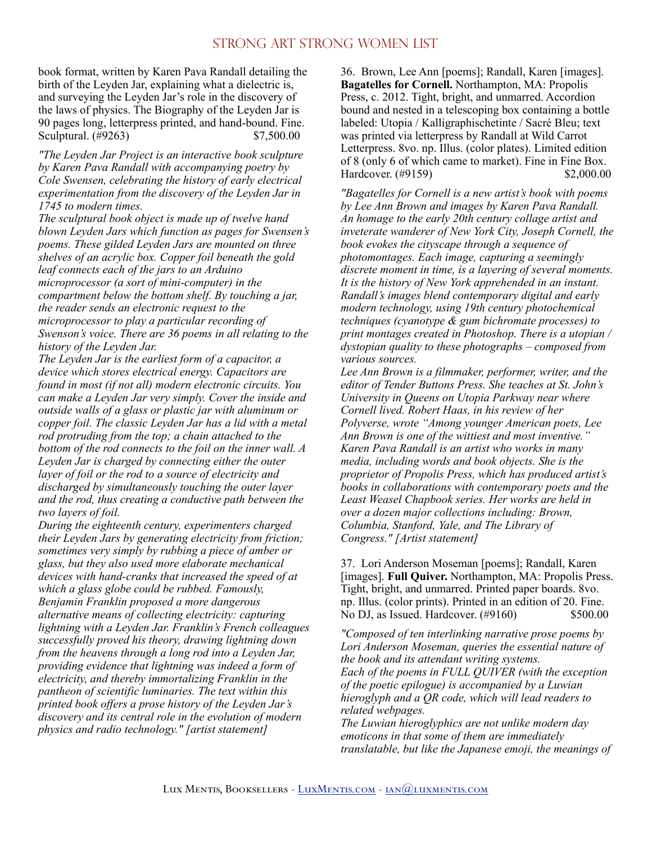book format, written by Karen Pava Randall detailing the birth of the Leyden Jar, explaining what a dielectric is, and surveying the Leyden Jar's role in the discovery of the laws of physics. The Biography of the Leyden Jar is 90 pages long, letterpress printed, and hand-bound. Fine. Sculptural. (#9263) \$7,500.00

*"The Leyden Jar Project is an interactive book sculpture by Karen Pava Randall with accompanying poetry by Cole Swensen, celebrating the history of early electrical experimentation from the discovery of the Leyden Jar in 1745 to modern times.* 

*The sculptural book object is made up of twelve hand blown Leyden Jars which function as pages for Swensen's poems. These gilded Leyden Jars are mounted on three shelves of an acrylic box. Copper foil beneath the gold leaf connects each of the jars to an Arduino microprocessor (a sort of mini-computer) in the compartment below the bottom shelf. By touching a jar, the reader sends an electronic request to the microprocessor to play a particular recording of Swenson's voice. There are 36 poems in all relating to the history of the Leyden Jar.* 

*The Leyden Jar is the earliest form of a capacitor, a device which stores electrical energy. Capacitors are found in most (if not all) modern electronic circuits. You can make a Leyden Jar very simply. Cover the inside and outside walls of a glass or plastic jar with aluminum or copper foil. The classic Leyden Jar has a lid with a metal rod protruding from the top; a chain attached to the bottom of the rod connects to the foil on the inner wall. A Leyden Jar is charged by connecting either the outer layer of foil or the rod to a source of electricity and discharged by simultaneously touching the outer layer and the rod, thus creating a conductive path between the two layers of foil.* 

*During the eighteenth century, experimenters charged their Leyden Jars by generating electricity from friction; sometimes very simply by rubbing a piece of amber or glass, but they also used more elaborate mechanical devices with hand-cranks that increased the speed of at which a glass globe could be rubbed. Famously, Benjamin Franklin proposed a more dangerous alternative means of collecting electricity: capturing lightning with a Leyden Jar. Franklin's French colleagues successfully proved his theory, drawing lightning down from the heavens through a long rod into a Leyden Jar, providing evidence that lightning was indeed a form of electricity, and thereby immortalizing Franklin in the pantheon of scientific luminaries. The text within this printed book offers a prose history of the Leyden Jar's discovery and its central role in the evolution of modern physics and radio technology." [artist statement]* 

36. Brown, Lee Ann [poems]; Randall, Karen [images]. **Bagatelles for Cornell.** Northampton, MA: Propolis Press, c. 2012. Tight, bright, and unmarred. Accordion bound and nested in a telescoping box containing a bottle labeled: Utopia / Kalligraphischetinte / Sacré Bleu; text was printed via letterpress by Randall at Wild Carrot Letterpress. 8vo. np. Illus. (color plates). Limited edition of 8 (only 6 of which came to market). Fine in Fine Box. Hardcover. (#9159) \$2,000.00

*"Bagatelles for Cornell is a new artist's book with poems by Lee Ann Brown and images by Karen Pava Randall. An homage to the early 20th century collage artist and inveterate wanderer of New York City, Joseph Cornell, the book evokes the cityscape through a sequence of photomontages. Each image, capturing a seemingly discrete moment in time, is a layering of several moments. It is the history of New York apprehended in an instant. Randall's images blend contemporary digital and early modern technology, using 19th century photochemical techniques (cyanotype & gum bichromate processes) to print montages created in Photoshop. There is a utopian / dystopian quality to these photographs – composed from various sources.* 

*Lee Ann Brown is a filmmaker, performer, writer, and the editor of Tender Buttons Press. She teaches at St. John's University in Queens on Utopia Parkway near where Cornell lived. Robert Haas, in his review of her Polyverse, wrote "Among younger American poets, Lee Ann Brown is one of the wittiest and most inventive." Karen Pava Randall is an artist who works in many media, including words and book objects. She is the proprietor of Propolis Press, which has produced artist's books in collaborations with contemporary poets and the Least Weasel Chapbook series. Her works are held in over a dozen major collections including: Brown, Columbia, Stanford, Yale, and The Library of Congress." [Artist statement]* 

37. Lori Anderson Moseman [poems]; Randall, Karen [images]. **Full Quiver.** Northampton, MA: Propolis Press. Tight, bright, and unmarred. Printed paper boards. 8vo. np. Illus. (color prints). Printed in an edition of 20. Fine. No DJ, as Issued. Hardcover. (#9160) \$500.00

*"Composed of ten interlinking narrative prose poems by Lori Anderson Moseman, queries the essential nature of the book and its attendant writing systems. Each of the poems in FULL QUIVER (with the exception of the poetic epilogue) is accompanied by a Luwian hieroglyph and a QR code, which will lead readers to related webpages.* 

*The Luwian hieroglyphics are not unlike modern day emoticons in that some of them are immediately translatable, but like the Japanese emoji, the meanings of*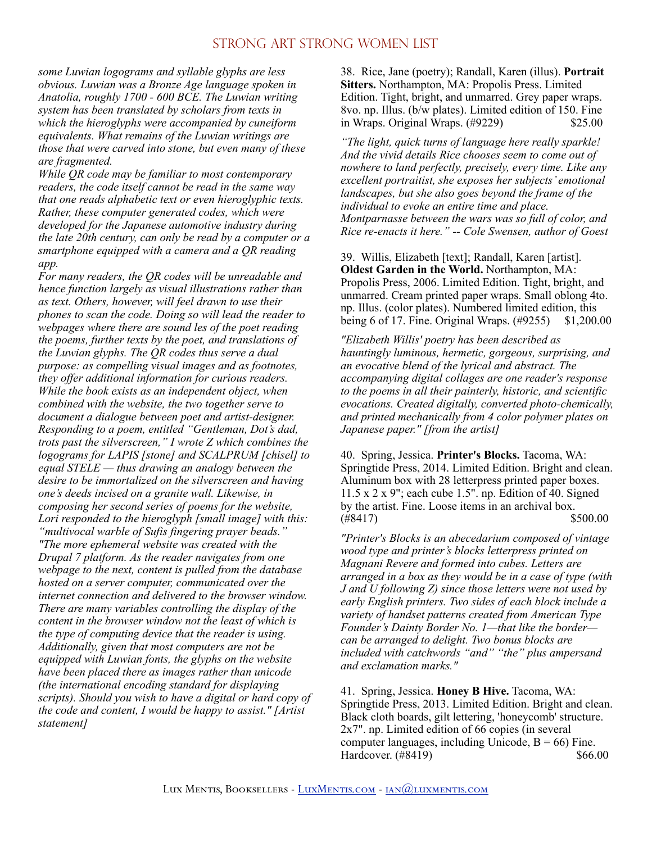*some Luwian logograms and syllable glyphs are less obvious. Luwian was a Bronze Age language spoken in Anatolia, roughly 1700 - 600 BCE. The Luwian writing system has been translated by scholars from texts in which the hieroglyphs were accompanied by cuneiform equivalents. What remains of the Luwian writings are those that were carved into stone, but even many of these are fragmented.* 

*While QR code may be familiar to most contemporary readers, the code itself cannot be read in the same way that one reads alphabetic text or even hieroglyphic texts. Rather, these computer generated codes, which were developed for the Japanese automotive industry during the late 20th century, can only be read by a computer or a smartphone equipped with a camera and a QR reading app.* 

*For many readers, the QR codes will be unreadable and hence function largely as visual illustrations rather than as text. Others, however, will feel drawn to use their phones to scan the code. Doing so will lead the reader to webpages where there are sound les of the poet reading the poems, further texts by the poet, and translations of the Luwian glyphs. The QR codes thus serve a dual purpose: as compelling visual images and as footnotes, they offer additional information for curious readers. While the book exists as an independent object, when combined with the website, the two together serve to document a dialogue between poet and artist-designer. Responding to a poem, entitled "Gentleman, Dot's dad, trots past the silverscreen," I wrote Z which combines the logograms for LAPIS [stone] and SCALPRUM [chisel] to equal STELE — thus drawing an analogy between the desire to be immortalized on the silverscreen and having one's deeds incised on a granite wall. Likewise, in composing her second series of poems for the website, Lori responded to the hieroglyph [small image] with this: "multivocal warble of Sufis fingering prayer beads." "The more ephemeral website was created with the Drupal 7 platform. As the reader navigates from one webpage to the next, content is pulled from the database hosted on a server computer, communicated over the internet connection and delivered to the browser window. There are many variables controlling the display of the content in the browser window not the least of which is the type of computing device that the reader is using. Additionally, given that most computers are not be equipped with Luwian fonts, the glyphs on the website have been placed there as images rather than unicode (the international encoding standard for displaying scripts). Should you wish to have a digital or hard copy of the code and content, I would be happy to assist." [Artist statement]* 

38. Rice, Jane (poetry); Randall, Karen (illus). **Portrait Sitters.** Northampton, MA: Propolis Press. Limited Edition. Tight, bright, and unmarred. Grey paper wraps. 8vo. np. Illus. (b/w plates). Limited edition of 150. Fine in Wraps. Original Wraps. (#9229) \$25.00

*"The light, quick turns of language here really sparkle! And the vivid details Rice chooses seem to come out of nowhere to land perfectly, precisely, every time. Like any excellent portraitist, she exposes her subjects' emotional landscapes, but she also goes beyond the frame of the individual to evoke an entire time and place. Montparnasse between the wars was so full of color, and Rice re-enacts it here." -- Cole Swensen, author of Goest* 

39. Willis, Elizabeth [text]; Randall, Karen [artist]. **Oldest Garden in the World.** Northampton, MA: Propolis Press, 2006. Limited Edition. Tight, bright, and unmarred. Cream printed paper wraps. Small oblong 4to. np. Illus. (color plates). Numbered limited edition, this being 6 of 17. Fine. Original Wraps. (#9255) \$1,200.00

*"Elizabeth Willis' poetry has been described as hauntingly luminous, hermetic, gorgeous, surprising, and an evocative blend of the lyrical and abstract. The accompanying digital collages are one reader's response to the poems in all their painterly, historic, and scientific evocations. Created digitally, converted photo-chemically, and printed mechanically from 4 color polymer plates on Japanese paper." [from the artist]* 

40. Spring, Jessica. **Printer's Blocks.** Tacoma, WA: Springtide Press, 2014. Limited Edition. Bright and clean. Aluminum box with 28 letterpress printed paper boxes. 11.5 x 2 x 9"; each cube 1.5". np. Edition of 40. Signed by the artist. Fine. Loose items in an archival box.  $(*8417)$  \$500.00

*"Printer's Blocks is an abecedarium composed of vintage wood type and printer's blocks letterpress printed on Magnani Revere and formed into cubes. Letters are arranged in a box as they would be in a case of type (with J and U following Z) since those letters were not used by early English printers. Two sides of each block include a variety of handset patterns created from American Type Founder's Dainty Border No. 1—that like the border can be arranged to delight. Two bonus blocks are included with catchwords "and" "the" plus ampersand and exclamation marks."* 

41. Spring, Jessica. **Honey B Hive.** Tacoma, WA: Springtide Press, 2013. Limited Edition. Bright and clean. Black cloth boards, gilt lettering, 'honeycomb' structure. 2x7". np. Limited edition of 66 copies (in several computer languages, including Unicode,  $B = 66$ ) Fine. Hardcover. (#8419) \$66.00